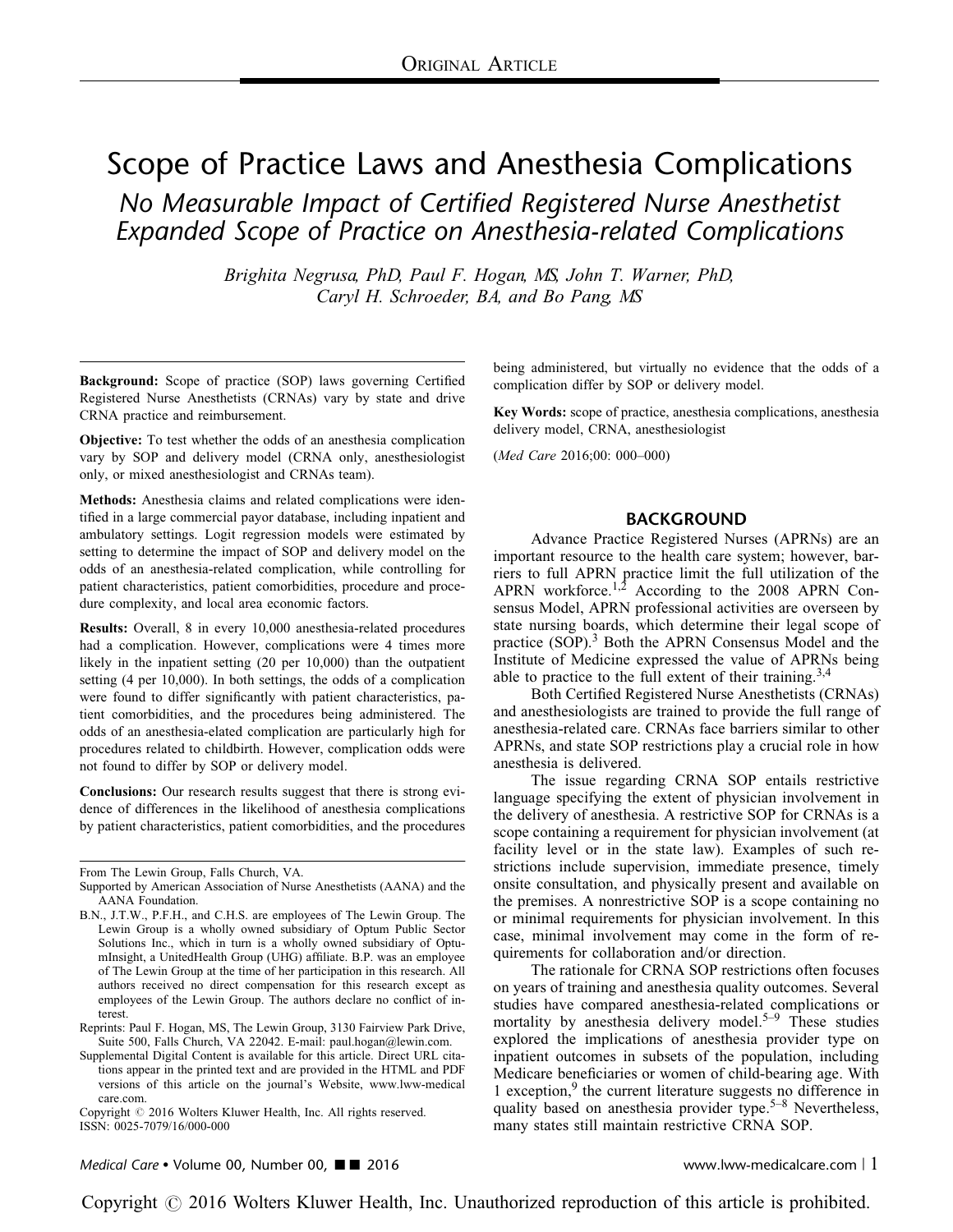# Scope of Practice Laws and Anesthesia Complications No Measurable Impact of Certified Registered Nurse Anesthetist Expanded Scope of Practice on Anesthesia-related Complications

*Brighita Negrusa, PhD, Paul F. Hogan, MS, John T. Warner, PhD, Caryl H. Schroeder, BA, and Bo Pang, MS*

**Background:** Scope of practice (SOP) laws governing Certified Registered Nurse Anesthetists (CRNAs) vary by state and drive CRNA practice and reimbursement.

**Objective:** To test whether the odds of an anesthesia complication vary by SOP and delivery model (CRNA only, anesthesiologist only, or mixed anesthesiologist and CRNAs team).

**Methods:** Anesthesia claims and related complications were identified in a large commercial payor database, including inpatient and ambulatory settings. Logit regression models were estimated by setting to determine the impact of SOP and delivery model on the odds of an anesthesia-related complication, while controlling for patient characteristics, patient comorbidities, procedure and procedure complexity, and local area economic factors.

**Results:** Overall, 8 in every 10,000 anesthesia-related procedures had a complication. However, complications were 4 times more likely in the inpatient setting (20 per 10,000) than the outpatient setting (4 per 10,000). In both settings, the odds of a complication were found to differ significantly with patient characteristics, patient comorbidities, and the procedures being administered. The odds of an anesthesia-elated complication are particularly high for procedures related to childbirth. However, complication odds were not found to differ by SOP or delivery model.

**Conclusions:** Our research results suggest that there is strong evidence of differences in the likelihood of anesthesia complications by patient characteristics, patient comorbidities, and the procedures

Copyright © 2016 Wolters Kluwer Health, Inc. All rights reserved. ISSN: 0025-7079/16/000-000

being administered, but virtually no evidence that the odds of a complication differ by SOP or delivery model.

**Key Words:** scope of practice, anesthesia complications, anesthesia delivery model, CRNA, anesthesiologist

(*Med Care* 2016;00: 000–000)

## BACKGROUND

Advance Practice Registered Nurses (APRNs) are an important resource to the health care system; however, barriers to full APRN practice limit the full utilization of the APRN workforce.<sup>1,2</sup> According to the 2008 APRN Consensus Model, APRN professional activities are overseen by state nursing boards, which determine their legal scope of practice  $(SOP)$ .<sup>3</sup> Both the APRN Consensus Model and the Institute of Medicine expressed the value of APRNs being able to practice to the full extent of their training.<sup>3,4</sup>

Both Certified Registered Nurse Anesthetists (CRNAs) and anesthesiologists are trained to provide the full range of anesthesia-related care. CRNAs face barriers similar to other APRNs, and state SOP restrictions play a crucial role in how anesthesia is delivered.

The issue regarding CRNA SOP entails restrictive language specifying the extent of physician involvement in the delivery of anesthesia. A restrictive SOP for CRNAs is a scope containing a requirement for physician involvement (at facility level or in the state law). Examples of such restrictions include supervision, immediate presence, timely onsite consultation, and physically present and available on the premises. A nonrestrictive SOP is a scope containing no or minimal requirements for physician involvement. In this case, minimal involvement may come in the form of requirements for collaboration and/or direction.

The rationale for CRNA SOP restrictions often focuses on years of training and anesthesia quality outcomes. Several studies have compared anesthesia-related complications or mortality by anesthesia delivery model.<sup>5–9</sup> These studies explored the implications of anesthesia provider type on inpatient outcomes in subsets of the population, including Medicare beneficiaries or women of child-bearing age. With 1 exception, $9$  the current literature suggests no difference in quality based on anesthesia provider type.<sup>5–8</sup> Nevertheless, many states still maintain restrictive CRNA SOP.

Medical Care • Volume 00, Number 00,  $\blacksquare$  2016 www.lww-medicalcare.com | 1

From The Lewin Group, Falls Church, VA.

Supported by American Association of Nurse Anesthetists (AANA) and the AANA Foundation.

B.N., J.T.W., P.F.H., and C.H.S. are employees of The Lewin Group. The Lewin Group is a wholly owned subsidiary of Optum Public Sector Solutions Inc., which in turn is a wholly owned subsidiary of OptumInsight, a UnitedHealth Group (UHG) affiliate. B.P. was an employee of The Lewin Group at the time of her participation in this research. All authors received no direct compensation for this research except as employees of the Lewin Group. The authors declare no conflict of interest.

Reprints: Paul F. Hogan, MS, The Lewin Group, 3130 Fairview Park Drive, Suite 500, Falls Church, VA 22042. E-mail: paul.hogan@lewin.com.

Supplemental Digital Content is available for this article. Direct URL citations appear in the printed text and are provided in the HTML and PDF versions of this article on the journal's Website, www.lww-medical care.com.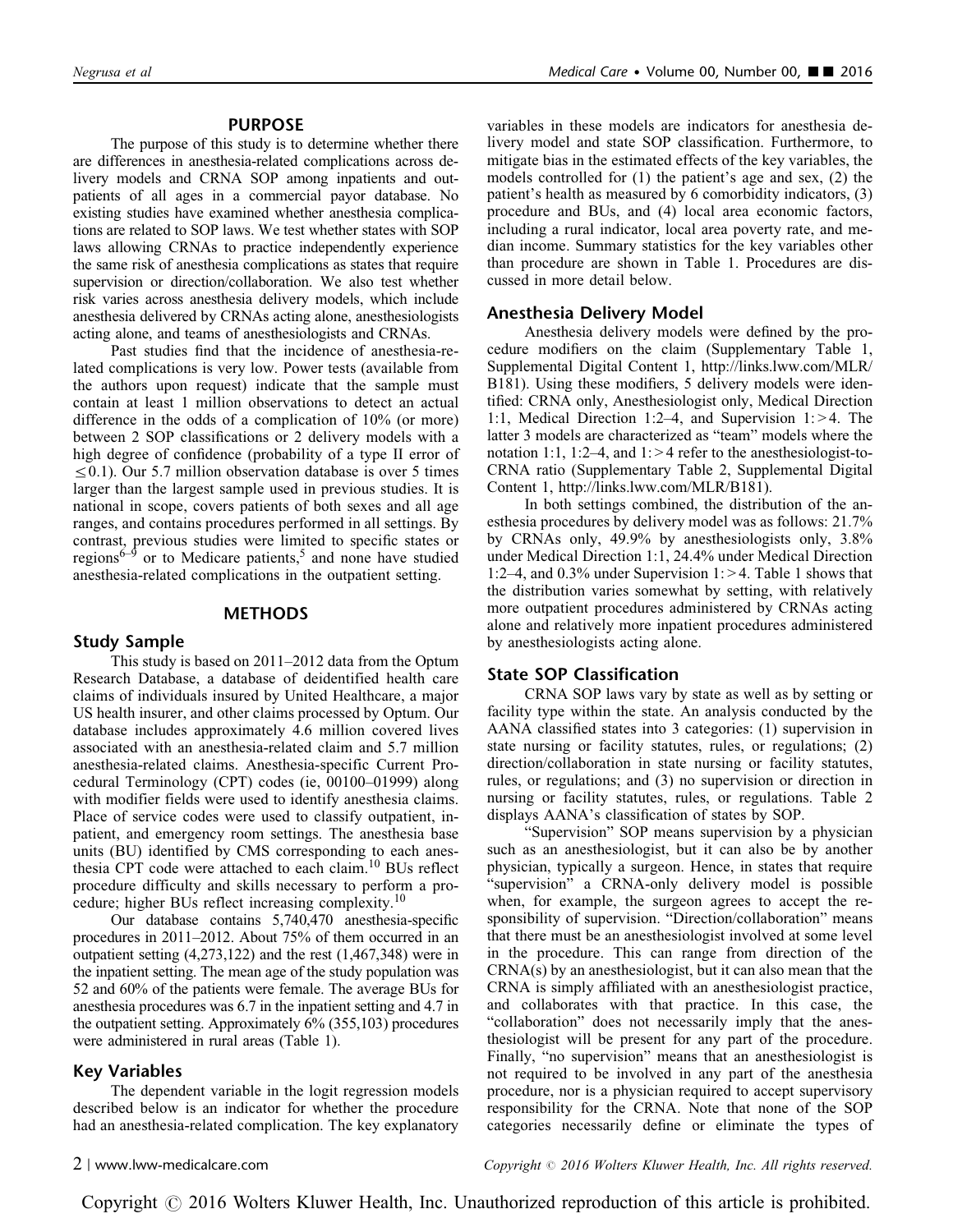### PURPOSE

The purpose of this study is to determine whether there are differences in anesthesia-related complications across delivery models and CRNA SOP among inpatients and outpatients of all ages in a commercial payor database. No existing studies have examined whether anesthesia complications are related to SOP laws. We test whether states with SOP laws allowing CRNAs to practice independently experience the same risk of anesthesia complications as states that require supervision or direction/collaboration. We also test whether risk varies across anesthesia delivery models, which include anesthesia delivered by CRNAs acting alone, anesthesiologists acting alone, and teams of anesthesiologists and CRNAs.

Past studies find that the incidence of anesthesia-related complications is very low. Power tests (available from the authors upon request) indicate that the sample must contain at least 1 million observations to detect an actual difference in the odds of a complication of 10% (or more) between 2 SOP classifications or 2 delivery models with a high degree of confidence (probability of a type II error of  $\leq$ 0.1). Our 5.7 million observation database is over 5 times larger than the largest sample used in previous studies. It is national in scope, covers patients of both sexes and all age ranges, and contains procedures performed in all settings. By contrast, previous studies were limited to specific states or regions<sup>6–9</sup> or to Medicare patients,<sup>5</sup> and none have studied anesthesia-related complications in the outpatient setting.

## METHODS

## Study Sample

This study is based on 2011–2012 data from the Optum Research Database, a database of deidentified health care claims of individuals insured by United Healthcare, a major US health insurer, and other claims processed by Optum. Our database includes approximately 4.6 million covered lives associated with an anesthesia-related claim and 5.7 million anesthesia-related claims. Anesthesia-specific Current Procedural Terminology (CPT) codes (ie, 00100–01999) along with modifier fields were used to identify anesthesia claims. Place of service codes were used to classify outpatient, inpatient, and emergency room settings. The anesthesia base units (BU) identified by CMS corresponding to each anesthesia CPT code were attached to each claim.<sup>10</sup> BUs reflect procedure difficulty and skills necessary to perform a procedure; higher BUs reflect increasing complexity.<sup>10</sup>

Our database contains 5,740,470 anesthesia-specific procedures in 2011–2012. About 75% of them occurred in an outpatient setting  $(4,273,122)$  and the rest  $(1,467,348)$  were in the inpatient setting. The mean age of the study population was 52 and 60% of the patients were female. The average BUs for anesthesia procedures was 6.7 in the inpatient setting and 4.7 in the outpatient setting. Approximately 6% (355,103) procedures were administered in rural areas (Table 1).

## Key Variables

The dependent variable in the logit regression models described below is an indicator for whether the procedure had an anesthesia-related complication. The key explanatory variables in these models are indicators for anesthesia delivery model and state SOP classification. Furthermore, to mitigate bias in the estimated effects of the key variables, the models controlled for (1) the patient's age and sex, (2) the patient's health as measured by 6 comorbidity indicators, (3) procedure and BUs, and (4) local area economic factors, including a rural indicator, local area poverty rate, and median income. Summary statistics for the key variables other than procedure are shown in Table 1. Procedures are discussed in more detail below.

## Anesthesia Delivery Model

Anesthesia delivery models were defined by the procedure modifiers on the claim (Supplementary Table 1, Supplemental Digital Content 1, http://links.lww.com/MLR/ B181). Using these modifiers, 5 delivery models were identified: CRNA only, Anesthesiologist only, Medical Direction 1:1, Medical Direction 1:2–4, and Supervision 1: > 4. The latter 3 models are characterized as "team" models where the notation 1:1, 1:2–4, and 1: $>4$  refer to the anesthesiologist-to-CRNA ratio (Supplementary Table 2, Supplemental Digital Content 1, http://links.lww.com/MLR/B181).

In both settings combined, the distribution of the anesthesia procedures by delivery model was as follows: 21.7% by CRNAs only, 49.9% by anesthesiologists only, 3.8% under Medical Direction 1:1, 24.4% under Medical Direction 1:2–4, and 0.3% under Supervision 1: > 4. Table 1 shows that the distribution varies somewhat by setting, with relatively more outpatient procedures administered by CRNAs acting alone and relatively more inpatient procedures administered by anesthesiologists acting alone.

## State SOP Classification

CRNA SOP laws vary by state as well as by setting or facility type within the state. An analysis conducted by the AANA classified states into 3 categories: (1) supervision in state nursing or facility statutes, rules, or regulations; (2) direction/collaboration in state nursing or facility statutes, rules, or regulations; and (3) no supervision or direction in nursing or facility statutes, rules, or regulations. Table 2 displays AANA's classification of states by SOP.

"Supervision" SOP means supervision by a physician such as an anesthesiologist, but it can also be by another physician, typically a surgeon. Hence, in states that require "supervision" a CRNA-only delivery model is possible when, for example, the surgeon agrees to accept the responsibility of supervision. "Direction/collaboration" means that there must be an anesthesiologist involved at some level in the procedure. This can range from direction of the CRNA(s) by an anesthesiologist, but it can also mean that the CRNA is simply affiliated with an anesthesiologist practice, and collaborates with that practice. In this case, the "collaboration" does not necessarily imply that the anesthesiologist will be present for any part of the procedure. Finally, "no supervision" means that an anesthesiologist is not required to be involved in any part of the anesthesia procedure, nor is a physician required to accept supervisory responsibility for the CRNA. Note that none of the SOP categories necessarily define or eliminate the types of

2 | www.lww-medicalcare.com *Copyright*  $\odot$  2016 Wolters Kluwer Health, Inc. All rights reserved.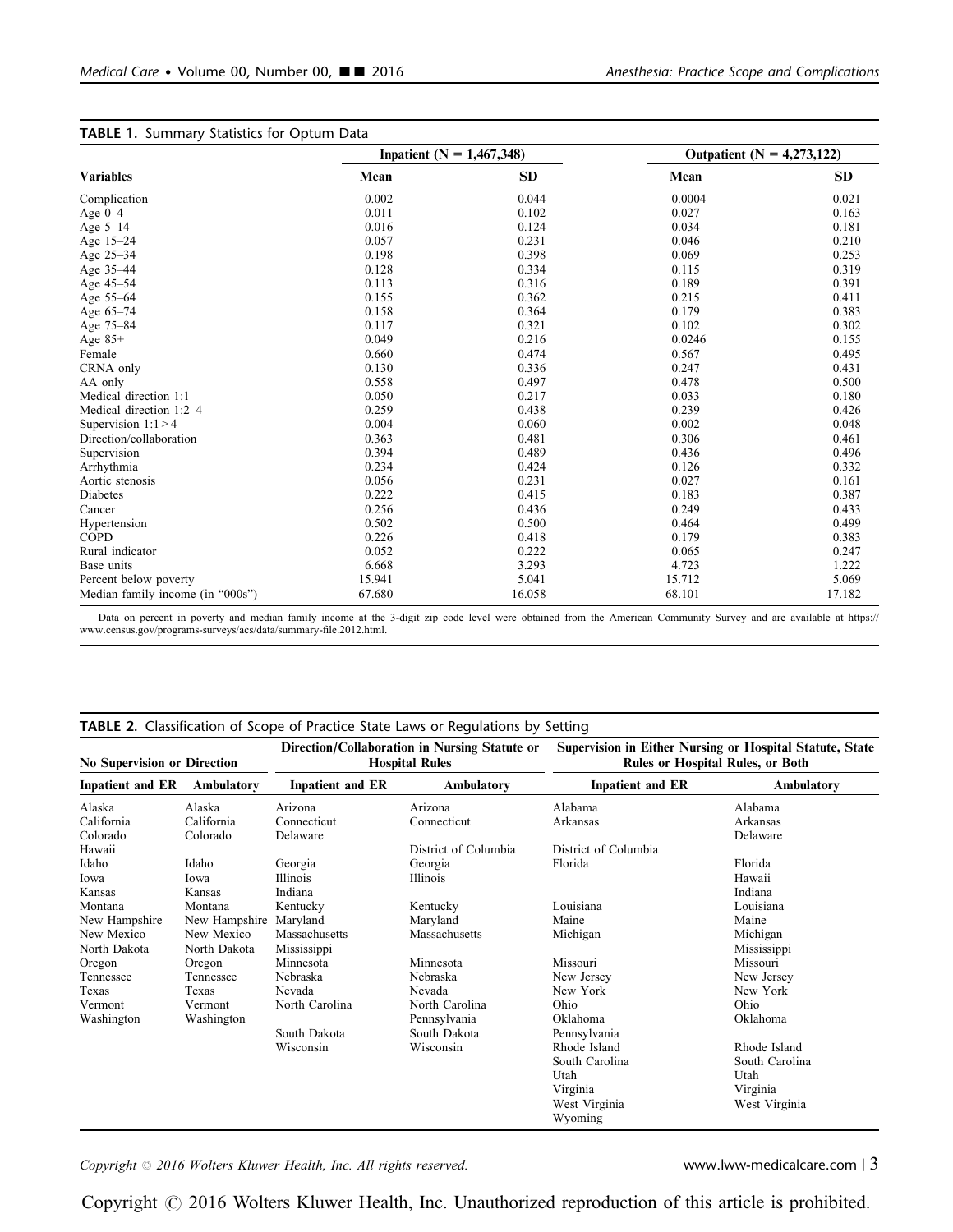| <b>TABLE 1. Summary Statistics for Optum Data</b> |        |                               |                                |           |  |  |  |  |
|---------------------------------------------------|--------|-------------------------------|--------------------------------|-----------|--|--|--|--|
|                                                   |        | Inpatient ( $N = 1,467,348$ ) | Outpatient ( $N = 4,273,122$ ) |           |  |  |  |  |
| <b>Variables</b>                                  | Mean   | <b>SD</b>                     | Mean                           | <b>SD</b> |  |  |  |  |
| Complication                                      | 0.002  | 0.044                         | 0.0004                         | 0.021     |  |  |  |  |
| Age 0-4                                           | 0.011  | 0.102                         | 0.027                          | 0.163     |  |  |  |  |
| Age $5-14$                                        | 0.016  | 0.124                         | 0.034                          | 0.181     |  |  |  |  |
| Age 15-24                                         | 0.057  | 0.231                         | 0.046                          | 0.210     |  |  |  |  |
| Age 25-34                                         | 0.198  | 0.398                         | 0.069                          | 0.253     |  |  |  |  |
| Age 35-44                                         | 0.128  | 0.334                         | 0.115                          | 0.319     |  |  |  |  |
| Age 45-54                                         | 0.113  | 0.316                         | 0.189                          | 0.391     |  |  |  |  |
| Age 55-64                                         | 0.155  | 0.362                         | 0.215                          | 0.411     |  |  |  |  |
| Age 65-74                                         | 0.158  | 0.364                         | 0.179                          | 0.383     |  |  |  |  |
| Age 75-84                                         | 0.117  | 0.321                         | 0.102                          | 0.302     |  |  |  |  |
| Age $85+$                                         | 0.049  | 0.216                         | 0.0246                         | 0.155     |  |  |  |  |
| Female                                            | 0.660  | 0.474                         | 0.567                          | 0.495     |  |  |  |  |
| CRNA only                                         | 0.130  | 0.336                         | 0.247                          | 0.431     |  |  |  |  |
| AA only                                           | 0.558  | 0.497                         | 0.478                          | 0.500     |  |  |  |  |
| Medical direction 1:1                             | 0.050  | 0.217                         | 0.033                          | 0.180     |  |  |  |  |
| Medical direction 1:2-4                           | 0.259  | 0.438                         | 0.239                          | 0.426     |  |  |  |  |
| Supervision $1:1>4$                               | 0.004  | 0.060                         | 0.002                          | 0.048     |  |  |  |  |
| Direction/collaboration                           | 0.363  | 0.481                         | 0.306                          | 0.461     |  |  |  |  |
| Supervision                                       | 0.394  | 0.489                         | 0.436                          | 0.496     |  |  |  |  |
| Arrhythmia                                        | 0.234  | 0.424                         | 0.126                          | 0.332     |  |  |  |  |
| Aortic stenosis                                   | 0.056  | 0.231                         | 0.027                          | 0.161     |  |  |  |  |
| Diabetes                                          | 0.222  | 0.415                         | 0.183                          | 0.387     |  |  |  |  |
| Cancer                                            | 0.256  | 0.436                         | 0.249                          | 0.433     |  |  |  |  |
| Hypertension                                      | 0.502  | 0.500                         | 0.464                          | 0.499     |  |  |  |  |
| <b>COPD</b>                                       | 0.226  | 0.418                         | 0.179                          | 0.383     |  |  |  |  |
| Rural indicator                                   | 0.052  | 0.222                         | 0.065                          | 0.247     |  |  |  |  |
| Base units                                        | 6.668  | 3.293                         | 4.723                          | 1.222     |  |  |  |  |
| Percent below poverty                             | 15.941 | 5.041                         | 15.712                         | 5.069     |  |  |  |  |
| Median family income (in "000s")                  | 67.680 | 16.058                        | 68.101                         | 17.182    |  |  |  |  |

Data on percent in poverty and median family income at the 3-digit zip code level were obtained from the American Community Survey and are available at https:// www.census.gov/programs-surveys/acs/data/summary-file.2012.html.

## TABLE 2. Classification of Scope of Practice State Laws or Regulations by Setting

| <b>No Supervision or Direction</b>                     |                                                        |                                                      | Direction/Collaboration in Nursing Statute or<br><b>Hospital Rules</b> | <b>Supervision in Either Nursing or Hospital Statute, State</b><br><b>Rules or Hospital Rules, or Both</b> |                                                                     |  |
|--------------------------------------------------------|--------------------------------------------------------|------------------------------------------------------|------------------------------------------------------------------------|------------------------------------------------------------------------------------------------------------|---------------------------------------------------------------------|--|
| <b>Inpatient and ER</b><br>Ambulatory                  |                                                        | <b>Inpatient and ER</b>                              | Ambulatory                                                             | <b>Inpatient and ER</b>                                                                                    | Ambulatory                                                          |  |
| Alaska<br>California<br>Colorado                       | Alaska<br>California<br>Colorado                       | Arizona<br>Connecticut<br>Delaware                   | Arizona<br>Connecticut                                                 | Alabama<br>Arkansas                                                                                        | Alabama<br>Arkansas<br>Delaware                                     |  |
| Hawaii<br>Idaho<br>Iowa<br>Kansas                      | Idaho<br>Iowa<br>Kansas                                | Georgia<br><b>Illinois</b><br>Indiana                | District of Columbia<br>Georgia<br>Illinois                            | District of Columbia<br>Florida                                                                            | Florida<br>Hawaii<br>Indiana                                        |  |
| Montana<br>New Hampshire<br>New Mexico<br>North Dakota | Montana<br>New Hampshire<br>New Mexico<br>North Dakota | Kentucky<br>Maryland<br>Massachusetts<br>Mississippi | Kentucky<br>Maryland<br>Massachusetts                                  | Louisiana<br>Maine<br>Michigan                                                                             | Louisiana<br>Maine<br>Michigan<br>Mississippi                       |  |
| Oregon<br>Tennessee<br>Texas<br>Vermont<br>Washington  | Oregon<br>Tennessee<br>Texas<br>Vermont<br>Washington  | Minnesota<br>Nebraska<br>Nevada<br>North Carolina    | Minnesota<br>Nebraska<br>Nevada<br>North Carolina<br>Pennsylvania      | Missouri<br>New Jersey<br>New York<br>Ohio<br>Oklahoma                                                     | Missouri<br>New Jersey<br>New York<br>Ohio<br>Oklahoma              |  |
|                                                        |                                                        | South Dakota<br>Wisconsin                            | South Dakota<br>Wisconsin                                              | Pennsylvania<br>Rhode Island<br>South Carolina<br>Utah<br>Virginia<br>West Virginia<br>Wyoming             | Rhode Island<br>South Carolina<br>Utah<br>Virginia<br>West Virginia |  |

*Copyright*  $\odot$  2016 Wolters Kluwer Health, Inc. All rights reserved. Www.lww-medicalcare.com | 3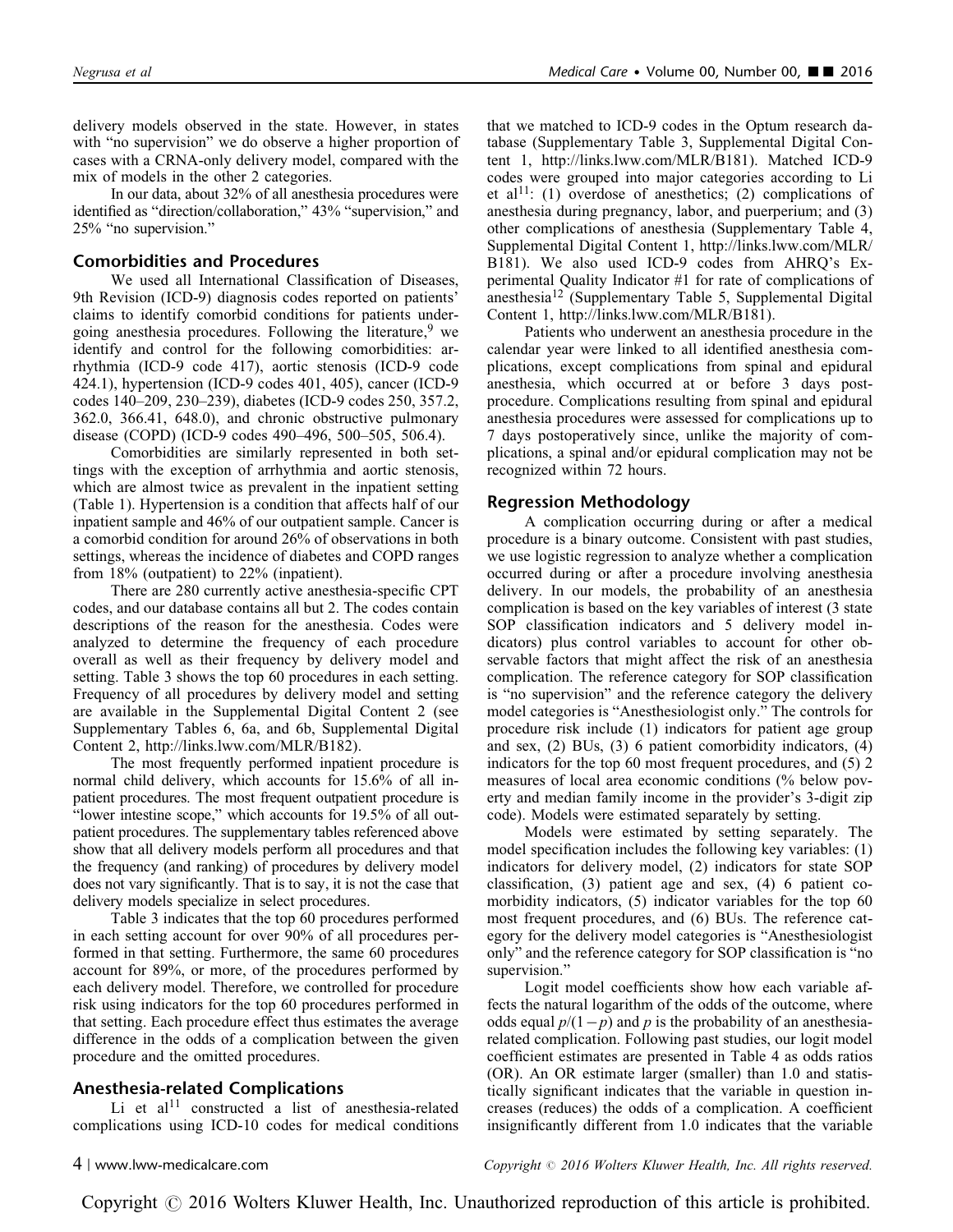delivery models observed in the state. However, in states with "no supervision" we do observe a higher proportion of cases with a CRNA-only delivery model, compared with the mix of models in the other 2 categories.

In our data, about 32% of all anesthesia procedures were identified as "direction/collaboration," 43% "supervision," and 25% "no supervision."

## Comorbidities and Procedures

We used all International Classification of Diseases, 9th Revision (ICD-9) diagnosis codes reported on patients' claims to identify comorbid conditions for patients undergoing anesthesia procedures. Following the literature, $9$  we identify and control for the following comorbidities: arrhythmia (ICD-9 code 417), aortic stenosis (ICD-9 code 424.1), hypertension (ICD-9 codes 401, 405), cancer (ICD-9 codes 140–209, 230–239), diabetes (ICD-9 codes 250, 357.2, 362.0, 366.41, 648.0), and chronic obstructive pulmonary disease (COPD) (ICD-9 codes 490–496, 500–505, 506.4).

Comorbidities are similarly represented in both settings with the exception of arrhythmia and aortic stenosis, which are almost twice as prevalent in the inpatient setting (Table 1). Hypertension is a condition that affects half of our inpatient sample and 46% of our outpatient sample. Cancer is a comorbid condition for around 26% of observations in both settings, whereas the incidence of diabetes and COPD ranges from 18% (outpatient) to 22% (inpatient).

There are 280 currently active anesthesia-specific CPT codes, and our database contains all but 2. The codes contain descriptions of the reason for the anesthesia. Codes were analyzed to determine the frequency of each procedure overall as well as their frequency by delivery model and setting. Table 3 shows the top 60 procedures in each setting. Frequency of all procedures by delivery model and setting are available in the Supplemental Digital Content 2 (see Supplementary Tables 6, 6a, and 6b, Supplemental Digital Content 2, http://links.lww.com/MLR/B182).

The most frequently performed inpatient procedure is normal child delivery, which accounts for 15.6% of all inpatient procedures. The most frequent outpatient procedure is "lower intestine scope," which accounts for 19.5% of all outpatient procedures. The supplementary tables referenced above show that all delivery models perform all procedures and that the frequency (and ranking) of procedures by delivery model does not vary significantly. That is to say, it is not the case that delivery models specialize in select procedures.

Table 3 indicates that the top 60 procedures performed in each setting account for over 90% of all procedures performed in that setting. Furthermore, the same 60 procedures account for 89%, or more, of the procedures performed by each delivery model. Therefore, we controlled for procedure risk using indicators for the top 60 procedures performed in that setting. Each procedure effect thus estimates the average difference in the odds of a complication between the given procedure and the omitted procedures.

## Anesthesia-related Complications

Li et al<sup>11</sup> constructed a list of anesthesia-related complications using ICD-10 codes for medical conditions

that we matched to ICD-9 codes in the Optum research database (Supplementary Table 3, Supplemental Digital Content 1, http://links.lww.com/MLR/B181). Matched ICD-9 codes were grouped into major categories according to Li et al<sup>11</sup>: (1) overdose of anesthetics; (2) complications of anesthesia during pregnancy, labor, and puerperium; and (3) other complications of anesthesia (Supplementary Table 4, Supplemental Digital Content 1, http://links.lww.com/MLR/ B181). We also used ICD-9 codes from AHRQ's Experimental Quality Indicator #1 for rate of complications of anesthesia<sup>12</sup> (Supplementary Table 5, Supplemental Digital Content 1, http://links.lww.com/MLR/B181).

Patients who underwent an anesthesia procedure in the calendar year were linked to all identified anesthesia complications, except complications from spinal and epidural anesthesia, which occurred at or before 3 days postprocedure. Complications resulting from spinal and epidural anesthesia procedures were assessed for complications up to 7 days postoperatively since, unlike the majority of complications, a spinal and/or epidural complication may not be recognized within 72 hours.

### Regression Methodology

A complication occurring during or after a medical procedure is a binary outcome. Consistent with past studies, we use logistic regression to analyze whether a complication occurred during or after a procedure involving anesthesia delivery. In our models, the probability of an anesthesia complication is based on the key variables of interest (3 state SOP classification indicators and 5 delivery model indicators) plus control variables to account for other observable factors that might affect the risk of an anesthesia complication. The reference category for SOP classification is "no supervision" and the reference category the delivery model categories is "Anesthesiologist only." The controls for procedure risk include (1) indicators for patient age group and sex, (2) BUs, (3) 6 patient comorbidity indicators, (4) indicators for the top 60 most frequent procedures, and (5) 2 measures of local area economic conditions (% below poverty and median family income in the provider's 3-digit zip code). Models were estimated separately by setting.

Models were estimated by setting separately. The model specification includes the following key variables: (1) indicators for delivery model, (2) indicators for state SOP classification, (3) patient age and sex, (4) 6 patient comorbidity indicators, (5) indicator variables for the top 60 most frequent procedures, and (6) BUs. The reference category for the delivery model categories is "Anesthesiologist only" and the reference category for SOP classification is "no supervision."

Logit model coefficients show how each variable affects the natural logarithm of the odds of the outcome, where odds equal  $p/(1-p)$  and *p* is the probability of an anesthesiarelated complication. Following past studies, our logit model coefficient estimates are presented in Table 4 as odds ratios (OR). An OR estimate larger (smaller) than 1.0 and statistically significant indicates that the variable in question increases (reduces) the odds of a complication. A coefficient insignificantly different from 1.0 indicates that the variable

4 | www.lww-medicalcare.com *Copyright*  $\odot$  2016 Wolters Kluwer Health, Inc. All rights reserved.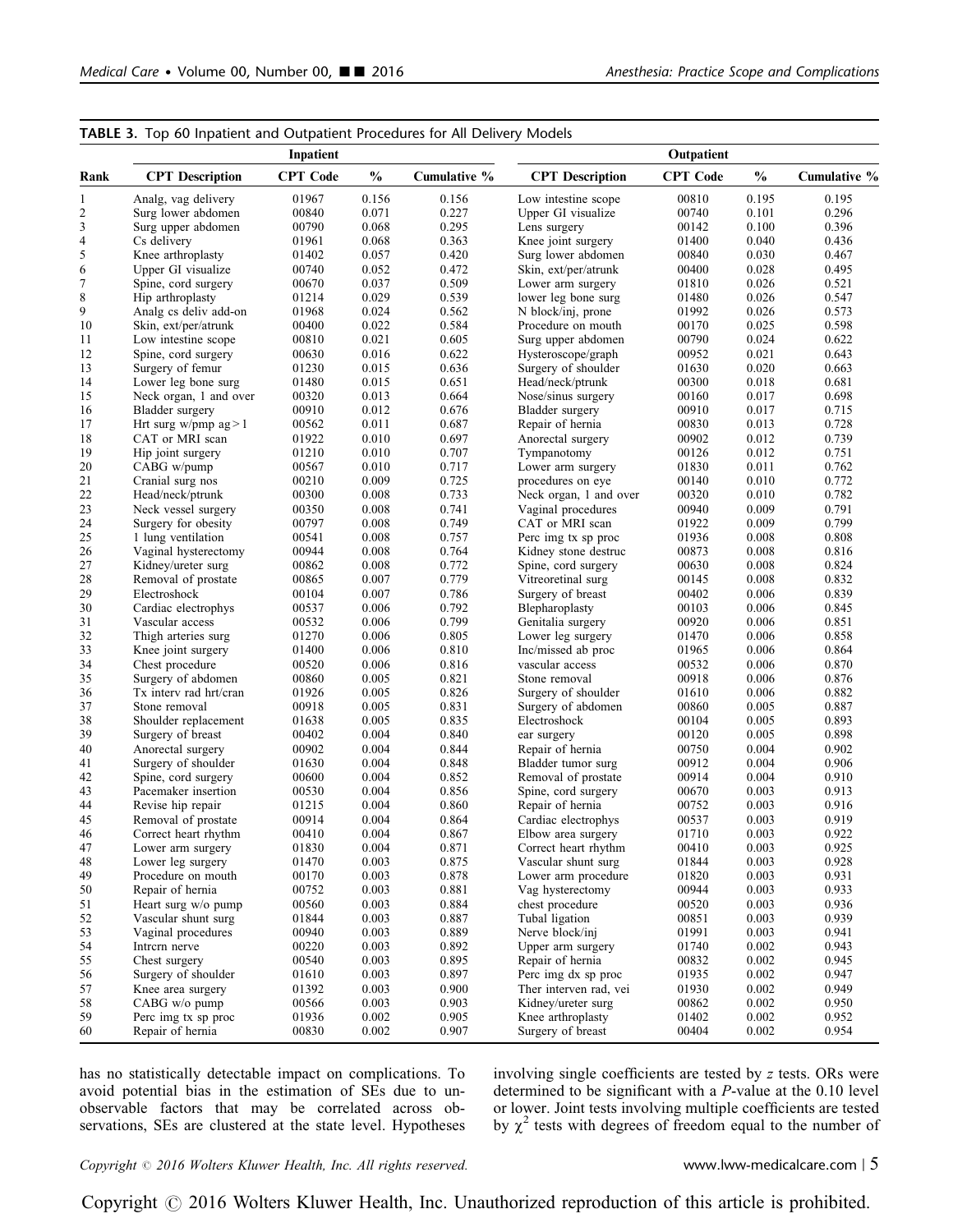| <b>TABLE 3.</b> Top 60 Inpatient and Outpatient Procedures for All Delivery Models |  |  |  |  |
|------------------------------------------------------------------------------------|--|--|--|--|
|------------------------------------------------------------------------------------|--|--|--|--|

|                  |                                               | <b>Inpatient</b> |                |                | Outpatient                                 |                 |                |                |
|------------------|-----------------------------------------------|------------------|----------------|----------------|--------------------------------------------|-----------------|----------------|----------------|
| Rank             | <b>CPT</b> Description                        | <b>CPT</b> Code  | $\frac{0}{0}$  | Cumulative %   | <b>CPT</b> Description                     | <b>CPT</b> Code | $\frac{0}{0}$  | Cumulative %   |
| 1                | Analg, vag delivery                           | 01967            | 0.156          | 0.156          | Low intestine scope                        | 00810           | 0.195          | 0.195          |
| $\mathbf{2}$     | Surg lower abdomen                            | 00840            | 0.071          | 0.227          | Upper GI visualize                         | 00740           | 0.101          | 0.296          |
| 3                | Surg upper abdomen                            | 00790            | 0.068          | 0.295          | Lens surgery                               | 00142           | 0.100          | 0.396          |
| 4                | Cs delivery                                   | 01961            | 0.068          | 0.363          | Knee joint surgery                         | 01400           | 0.040          | 0.436          |
| 5                | Knee arthroplasty                             | 01402            | 0.057          | 0.420          | Surg lower abdomen                         | 00840           | 0.030          | 0.467          |
| 6                | Upper GI visualize                            | 00740            | 0.052          | 0.472          | Skin, ext/per/atrunk                       | 00400           | 0.028          | 0.495          |
| $\boldsymbol{7}$ | Spine, cord surgery                           | 00670            | 0.037          | 0.509          | Lower arm surgery                          | 01810           | 0.026          | 0.521          |
| 8                | Hip arthroplasty                              | 01214            | 0.029          | 0.539          | lower leg bone surg                        | 01480           | 0.026          | 0.547          |
| 9                | Analg cs deliv add-on<br>Skin, ext/per/atrunk | 01968            | 0.024          | 0.562          | N block/inj, prone<br>Procedure on mouth   | 01992           | 0.026          | 0.573          |
| 10<br>11         | Low intestine scope                           | 00400<br>00810   | 0.022<br>0.021 | 0.584<br>0.605 | Surg upper abdomen                         | 00170<br>00790  | 0.025<br>0.024 | 0.598<br>0.622 |
| 12               | Spine, cord surgery                           | 00630            | 0.016          | 0.622          | Hysteroscope/graph                         | 00952           | 0.021          | 0.643          |
| 13               | Surgery of femur                              | 01230            | 0.015          | 0.636          | Surgery of shoulder                        | 01630           | 0.020          | 0.663          |
| 14               | Lower leg bone surg                           | 01480            | 0.015          | 0.651          | Head/neck/ptrunk                           | 00300           | 0.018          | 0.681          |
| 15               | Neck organ, 1 and over                        | 00320            | 0.013          | 0.664          | Nose/sinus surgery                         | 00160           | 0.017          | 0.698          |
| 16               | Bladder surgery                               | 00910            | 0.012          | 0.676          | Bladder surgery                            | 00910           | 0.017          | 0.715          |
| 17               | Hrt surg w/pmp $ag > 1$                       | 00562            | 0.011          | 0.687          | Repair of hernia                           | 00830           | 0.013          | 0.728          |
| 18               | CAT or MRI scan                               | 01922            | 0.010          | 0.697          | Anorectal surgery                          | 00902           | 0.012          | 0.739          |
| 19               | Hip joint surgery                             | 01210            | 0.010          | 0.707          | Tympanotomy                                | 00126           | 0.012          | 0.751          |
| 20               | CABG w/pump                                   | 00567            | 0.010          | 0.717          | Lower arm surgery                          | 01830           | 0.011          | 0.762          |
| 21               | Cranial surg nos                              | 00210            | 0.009          | 0.725          | procedures on eye                          | 00140           | 0.010          | 0.772          |
| 22               | Head/neck/ptrunk                              | 00300            | 0.008          | 0.733          | Neck organ, 1 and over                     | 00320           | 0.010          | 0.782          |
| 23               | Neck vessel surgery                           | 00350            | 0.008          | 0.741          | Vaginal procedures                         | 00940           | 0.009          | 0.791          |
| 24               | Surgery for obesity                           | 00797            | 0.008          | 0.749          | CAT or MRI scan                            | 01922           | 0.009          | 0.799          |
| 25               | 1 lung ventilation                            | 00541            | 0.008          | 0.757          | Perc img tx sp proc                        | 01936           | 0.008          | 0.808          |
| 26               | Vaginal hysterectomy                          | 00944            | 0.008          | 0.764          | Kidney stone destruc                       | 00873           | 0.008          | 0.816          |
| 27               | Kidney/ureter surg                            | 00862            | 0.008          | 0.772          | Spine, cord surgery                        | 00630           | 0.008          | 0.824          |
| 28<br>29         | Removal of prostate<br>Electroshock           | 00865            | 0.007          | 0.779          | Vitreoretinal surg                         | 00145           | 0.008          | 0.832<br>0.839 |
| 30               | Cardiac electrophys                           | 00104<br>00537   | 0.007<br>0.006 | 0.786<br>0.792 | Surgery of breast<br>Blepharoplasty        | 00402<br>00103  | 0.006<br>0.006 | 0.845          |
| 31               | Vascular access                               | 00532            | 0.006          | 0.799          | Genitalia surgery                          | 00920           | 0.006          | 0.851          |
| 32               | Thigh arteries surg                           | 01270            | 0.006          | 0.805          | Lower leg surgery                          | 01470           | 0.006          | 0.858          |
| 33               | Knee joint surgery                            | 01400            | 0.006          | 0.810          | Inc/missed ab proc                         | 01965           | 0.006          | 0.864          |
| 34               | Chest procedure                               | 00520            | 0.006          | 0.816          | vascular access                            | 00532           | 0.006          | 0.870          |
| 35               | Surgery of abdomen                            | 00860            | 0.005          | 0.821          | Stone removal                              | 00918           | 0.006          | 0.876          |
| 36               | Tx interv rad hrt/cran                        | 01926            | 0.005          | 0.826          | Surgery of shoulder                        | 01610           | 0.006          | 0.882          |
| 37               | Stone removal                                 | 00918            | 0.005          | 0.831          | Surgery of abdomen                         | 00860           | 0.005          | 0.887          |
| 38               | Shoulder replacement                          | 01638            | 0.005          | 0.835          | Electroshock                               | 00104           | 0.005          | 0.893          |
| 39               | Surgery of breast                             | 00402            | 0.004          | 0.840          | ear surgery                                | 00120           | 0.005          | 0.898          |
| 40               | Anorectal surgery                             | 00902            | 0.004          | 0.844          | Repair of hernia                           | 00750           | 0.004          | 0.902          |
| 41               | Surgery of shoulder                           | 01630            | 0.004          | 0.848          | Bladder tumor surg                         | 00912           | 0.004          | 0.906          |
| 42               | Spine, cord surgery                           | 00600            | 0.004          | 0.852          | Removal of prostate                        | 00914           | 0.004          | 0.910          |
| 43               | Pacemaker insertion                           | 00530            | 0.004          | 0.856          | Spine, cord surgery                        | 00670           | 0.003          | 0.913          |
| 44               | Revise hip repair                             | 01215            | 0.004          | 0.860          | Repair of hernia                           | 00752           | 0.003          | 0.916          |
| 45               | Removal of prostate                           | 00914            | 0.004          | 0.864          | Cardiac electrophys                        | 00537           | 0.003          | 0.919          |
| 46               | Correct heart rhythm                          | 00410            | 0.004<br>0.004 | 0.867<br>0.871 | Elbow area surgery                         | 01710           | 0.003<br>0.003 | 0.922          |
| 47<br>48         | Lower arm surgery                             | 01830<br>01470   | 0.003          | 0.875          | Correct heart rhythm                       | 00410<br>01844  | 0.003          | 0.925<br>0.928 |
| 49               | Lower leg surgery<br>Procedure on mouth       | 00170            | 0.003          | 0.878          | Vascular shunt surg<br>Lower arm procedure | 01820           | 0.003          | 0.931          |
| 50               | Repair of hernia                              | 00752            | 0.003          | 0.881          | Vag hysterectomy                           | 00944           | 0.003          | 0.933          |
| 51               | Heart surg w/o pump                           | 00560            | 0.003          | 0.884          | chest procedure                            | 00520           | 0.003          | 0.936          |
| 52               | Vascular shunt surg                           | 01844            | 0.003          | 0.887          | Tubal ligation                             | 00851           | 0.003          | 0.939          |
| 53               | Vaginal procedures                            | 00940            | 0.003          | 0.889          | Nerve block/inj                            | 01991           | 0.003          | 0.941          |
| 54               | Intrcrn nerve                                 | 00220            | 0.003          | 0.892          | Upper arm surgery                          | 01740           | 0.002          | 0.943          |
| 55               | Chest surgery                                 | 00540            | 0.003          | 0.895          | Repair of hernia                           | 00832           | 0.002          | 0.945          |
| 56               | Surgery of shoulder                           | 01610            | 0.003          | 0.897          | Perc img dx sp proc                        | 01935           | 0.002          | 0.947          |
| 57               | Knee area surgery                             | 01392            | 0.003          | 0.900          | Ther interven rad, vei                     | 01930           | 0.002          | 0.949          |
| 58               | CABG w/o pump                                 | 00566            | 0.003          | 0.903          | Kidney/ureter surg                         | 00862           | 0.002          | 0.950          |
| 59               | Perc img tx sp proc                           | 01936            | 0.002          | 0.905          | Knee arthroplasty                          | 01402           | 0.002          | 0.952          |
| 60               | Repair of hernia                              | 00830            | 0.002          | 0.907          | Surgery of breast                          | 00404           | 0.002          | 0.954          |

has no statistically detectable impact on complications. To avoid potential bias in the estimation of SEs due to unobservable factors that may be correlated across observations, SEs are clustered at the state level. Hypotheses involving single coefficients are tested by *z* tests. ORs were determined to be significant with a *P*-value at the 0.10 level or lower. Joint tests involving multiple coefficients are tested by  $\chi^2$  tests with degrees of freedom equal to the number of

*Copyright*  $\odot$  2016 Wolters Kluwer Health, Inc. All rights reserved. Www.lww-medicalcare.com | 5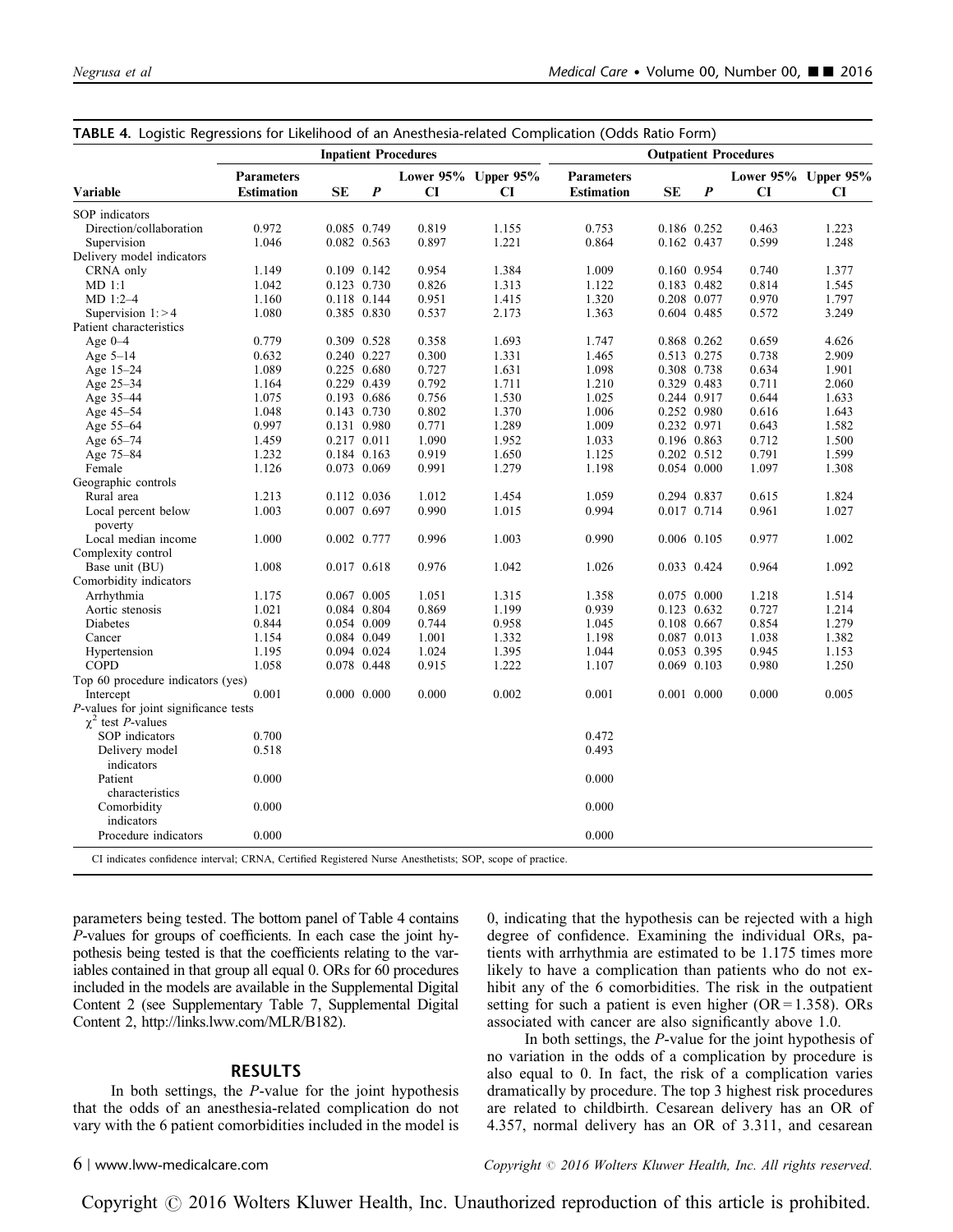| Variable<br>SOP indicators<br>Direction/collaboration<br>Supervision | <b>Parameters</b><br><b>Estimation</b><br>0.972 | SЕ | P                   | Lower 95% Upper 95% |       | <b>Parameters</b> |    |                  | Lower 95% Upper 95% |       |
|----------------------------------------------------------------------|-------------------------------------------------|----|---------------------|---------------------|-------|-------------------|----|------------------|---------------------|-------|
|                                                                      |                                                 |    |                     |                     |       |                   |    |                  |                     |       |
|                                                                      |                                                 |    |                     | CI                  | CI    | <b>Estimation</b> | SE | $\boldsymbol{P}$ | <b>CI</b>           | CI    |
|                                                                      |                                                 |    |                     |                     |       |                   |    |                  |                     |       |
|                                                                      |                                                 |    | 0.085 0.749         | 0.819               | 1.155 | 0.753             |    | 0.186 0.252      | 0.463               | 1.223 |
|                                                                      | 1.046                                           |    | 0.082 0.563         | 0.897               | 1.221 | 0.864             |    | 0.162 0.437      | 0.599               | 1.248 |
| Delivery model indicators                                            |                                                 |    |                     |                     |       |                   |    |                  |                     |       |
| CRNA only                                                            | 1.149                                           |    | 0.109 0.142         | 0.954               | 1.384 | 1.009             |    | 0.160 0.954      | 0.740               | 1.377 |
| MD 1:1                                                               | 1.042                                           |    | 0.123 0.730         | 0.826               | 1.313 | 1.122             |    | 0.183 0.482      | 0.814               | 1.545 |
| MD 1:2-4                                                             | 1.160                                           |    | 0.118 0.144         | 0.951               | 1.415 | 1.320             |    | 0.208 0.077      | 0.970               | 1.797 |
| Supervision $1:$ > 4                                                 | 1.080                                           |    | 0.385 0.830         | 0.537               | 2.173 | 1.363             |    | 0.604 0.485      | 0.572               | 3.249 |
| Patient characteristics                                              |                                                 |    |                     |                     |       |                   |    |                  |                     |       |
| Age $0-4$                                                            | 0.779                                           |    | 0.309 0.528         | 0.358               | 1.693 | 1.747             |    | 0.868 0.262      | 0.659               | 4.626 |
| Age $5-14$                                                           | 0.632                                           |    | 0.240 0.227         | 0.300               | 1.331 | 1.465             |    | 0.513 0.275      | 0.738               | 2.909 |
| Age 15-24                                                            | 1.089                                           |    | 0.225 0.680         | 0.727               | 1.631 | 1.098             |    | 0.308 0.738      | 0.634               | 1.901 |
| Age 25-34                                                            | 1.164                                           |    | 0.229 0.439         | 0.792               | 1.711 | 1.210             |    | 0.329 0.483      | 0.711               | 2.060 |
| Age 35–44                                                            | 1.075                                           |    | 0.193 0.686         | 0.756               | 1.530 | 1.025             |    | 0.244 0.917      | 0.644               | 1.633 |
|                                                                      | 1.048                                           |    |                     | 0.802               | 1.370 | 1.006             |    | 0.252 0.980      | 0.616               | 1.643 |
| Age 45–54                                                            |                                                 |    | 0.143 0.730         |                     |       |                   |    |                  |                     |       |
| Age 55-64                                                            | 0.997                                           |    | 0.131 0.980         | 0.771               | 1.289 | 1.009             |    | 0.232 0.971      | 0.643               | 1.582 |
| Age 65-74                                                            | 1.459                                           |    | 0.217 0.011         | 1.090               | 1.952 | 1.033             |    | 0.196 0.863      | 0.712               | 1.500 |
| Age 75-84                                                            | 1.232                                           |    | 0.184 0.163         | 0.919               | 1.650 | 1.125             |    | 0.202 0.512      | 0.791               | 1.599 |
| Female                                                               | 1.126                                           |    | 0.073 0.069         | 0.991               | 1.279 | 1.198             |    | 0.054 0.000      | 1.097               | 1.308 |
| Geographic controls                                                  |                                                 |    |                     |                     |       |                   |    |                  |                     |       |
| Rural area                                                           | 1.213                                           |    | 0.112 0.036         | 1.012               | 1.454 | 1.059             |    | 0.294 0.837      | 0.615               | 1.824 |
| Local percent below<br>poverty                                       | 1.003                                           |    | 0.007 0.697         | 0.990               | 1.015 | 0.994             |    | 0.017 0.714      | 0.961               | 1.027 |
| Local median income                                                  | 1.000                                           |    | 0.002 0.777         | 0.996               | 1.003 | 0.990             |    | 0.006 0.105      | 0.977               | 1.002 |
| Complexity control                                                   |                                                 |    |                     |                     |       |                   |    |                  |                     |       |
| Base unit (BU)                                                       | 1.008                                           |    | 0.017 0.618         | 0.976               | 1.042 | 1.026             |    | 0.033 0.424      | 0.964               | 1.092 |
| Comorbidity indicators                                               |                                                 |    |                     |                     |       |                   |    |                  |                     |       |
| Arrhythmia                                                           | 1.175                                           |    | 0.067 0.005         | 1.051               | 1.315 | 1.358             |    | 0.075 0.000      | 1.218               | 1.514 |
| Aortic stenosis                                                      | 1.021                                           |    | 0.084 0.804         | 0.869               | 1.199 | 0.939             |    | 0.123 0.632      | 0.727               | 1.214 |
| Diabetes                                                             | 0.844                                           |    | 0.054 0.009         | 0.744               | 0.958 | 1.045             |    | 0.108 0.667      | 0.854               | 1.279 |
| Cancer                                                               | 1.154                                           |    | 0.084 0.049         | 1.001               | 1.332 | 1.198             |    | 0.087 0.013      | 1.038               | 1.382 |
| Hypertension                                                         | 1.195                                           |    | 0.094 0.024         | 1.024               | 1.395 | 1.044             |    | 0.053 0.395      | 0.945               | 1.153 |
| <b>COPD</b>                                                          | 1.058                                           |    | 0.078 0.448         | 0.915               | 1.222 | 1.107             |    | 0.069 0.103      | 0.980               | 1.250 |
| Top 60 procedure indicators (yes)                                    |                                                 |    |                     |                     |       |                   |    |                  |                     |       |
| Intercept                                                            | 0.001                                           |    | $0.000 \quad 0.000$ | 0.000               | 0.002 | 0.001             |    | 0.001 0.000      | 0.000               | 0.005 |
| P-values for joint significance tests                                |                                                 |    |                     |                     |       |                   |    |                  |                     |       |
| $\chi^2$ test <i>P</i> -values                                       |                                                 |    |                     |                     |       |                   |    |                  |                     |       |
| SOP indicators                                                       | 0.700                                           |    |                     |                     |       | 0.472             |    |                  |                     |       |
| Delivery model                                                       | 0.518                                           |    |                     |                     |       | 0.493             |    |                  |                     |       |
| indicators                                                           |                                                 |    |                     |                     |       |                   |    |                  |                     |       |
| Patient                                                              | 0.000                                           |    |                     |                     |       | 0.000             |    |                  |                     |       |
| characteristics                                                      |                                                 |    |                     |                     |       |                   |    |                  |                     |       |
| Comorbidity                                                          | 0.000                                           |    |                     |                     |       | 0.000             |    |                  |                     |       |
| indicators                                                           |                                                 |    |                     |                     |       |                   |    |                  |                     |       |
| Procedure indicators                                                 | 0.000                                           |    |                     |                     |       | 0.000             |    |                  |                     |       |

| <b>TABLE 4.</b> Logistic Regressions for Likelihood of an Anesthesia-related Complication (Odds Ratio Form) |  |  |  |
|-------------------------------------------------------------------------------------------------------------|--|--|--|
|                                                                                                             |  |  |  |

parameters being tested. The bottom panel of Table 4 contains *P*-values for groups of coefficients. In each case the joint hypothesis being tested is that the coefficients relating to the variables contained in that group all equal 0. ORs for 60 procedures included in the models are available in the Supplemental Digital Content 2 (see Supplementary Table 7, Supplemental Digital Content 2, http://links.lww.com/MLR/B182).

## RESULTS

In both settings, the *P*-value for the joint hypothesis that the odds of an anesthesia-related complication do not vary with the 6 patient comorbidities included in the model is 0, indicating that the hypothesis can be rejected with a high degree of confidence. Examining the individual ORs, patients with arrhythmia are estimated to be 1.175 times more likely to have a complication than patients who do not exhibit any of the 6 comorbidities. The risk in the outpatient setting for such a patient is even higher  $(OR = 1.358)$ . ORs associated with cancer are also significantly above 1.0.

In both settings, the *P*-value for the joint hypothesis of no variation in the odds of a complication by procedure is also equal to 0. In fact, the risk of a complication varies dramatically by procedure. The top 3 highest risk procedures are related to childbirth. Cesarean delivery has an OR of 4.357, normal delivery has an OR of 3.311, and cesarean

6 | www.lww-medicalcare.com *Copyright* © 2016 Wolters Kluwer Health, Inc. All rights reserved.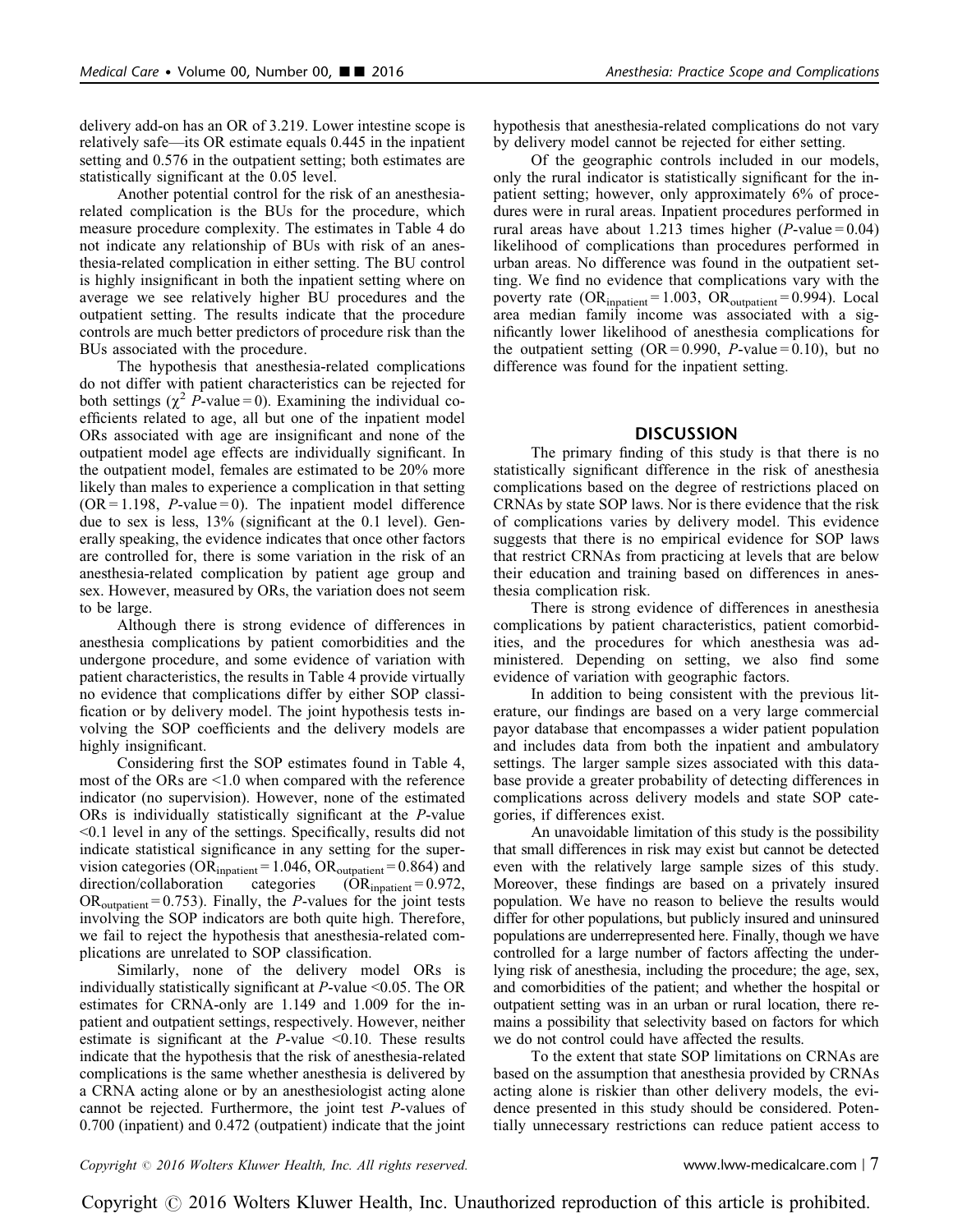delivery add-on has an OR of 3.219. Lower intestine scope is relatively safe—its OR estimate equals 0.445 in the inpatient setting and 0.576 in the outpatient setting; both estimates are statistically significant at the 0.05 level.

Another potential control for the risk of an anesthesiarelated complication is the BUs for the procedure, which measure procedure complexity. The estimates in Table 4 do not indicate any relationship of BUs with risk of an anesthesia-related complication in either setting. The BU control is highly insignificant in both the inpatient setting where on average we see relatively higher BU procedures and the outpatient setting. The results indicate that the procedure controls are much better predictors of procedure risk than the BUs associated with the procedure.

The hypothesis that anesthesia-related complications do not differ with patient characteristics can be rejected for both settings ( $\chi^2$  *P*-value = 0). Examining the individual coefficients related to age, all but one of the inpatient model ORs associated with age are insignificant and none of the outpatient model age effects are individually significant. In the outpatient model, females are estimated to be 20% more likely than males to experience a complication in that setting  $(OR = 1.198, P-value = 0)$ . The inpatient model difference due to sex is less, 13% (significant at the 0.1 level). Generally speaking, the evidence indicates that once other factors are controlled for, there is some variation in the risk of an anesthesia-related complication by patient age group and sex. However, measured by ORs, the variation does not seem to be large.

Although there is strong evidence of differences in anesthesia complications by patient comorbidities and the undergone procedure, and some evidence of variation with patient characteristics, the results in Table 4 provide virtually no evidence that complications differ by either SOP classification or by delivery model. The joint hypothesis tests involving the SOP coefficients and the delivery models are highly insignificant.

Considering first the SOP estimates found in Table 4, most of the ORs are <1.0 when compared with the reference indicator (no supervision). However, none of the estimated ORs is individually statistically significant at the *P*-value <0.1 level in any of the settings. Specifically, results did not indicate statistical significance in any setting for the supervision categories (OR<sub>inpatient</sub> = 1.046, OR<sub>outpatient</sub> = 0.864) and direction/collaboration categories  $(OR<sub>inpatient</sub> = 0.972)$ ,  $OR_{\text{outpatient}} = 0.753$ . Finally, the *P*-values for the joint tests involving the SOP indicators are both quite high. Therefore, we fail to reject the hypothesis that anesthesia-related complications are unrelated to SOP classification.

Similarly, none of the delivery model ORs is individually statistically significant at *P*-value <0.05. The OR estimates for CRNA-only are 1.149 and 1.009 for the inpatient and outpatient settings, respectively. However, neither estimate is significant at the *P*-value <0.10. These results indicate that the hypothesis that the risk of anesthesia-related complications is the same whether anesthesia is delivered by a CRNA acting alone or by an anesthesiologist acting alone cannot be rejected. Furthermore, the joint test *P*-values of 0.700 (inpatient) and 0.472 (outpatient) indicate that the joint hypothesis that anesthesia-related complications do not vary by delivery model cannot be rejected for either setting.

Of the geographic controls included in our models, only the rural indicator is statistically significant for the inpatient setting; however, only approximately 6% of procedures were in rural areas. Inpatient procedures performed in rural areas have about 1.213 times higher  $(P$ -value = 0.04) likelihood of complications than procedures performed in urban areas. No difference was found in the outpatient setting. We find no evidence that complications vary with the poverty rate  $(OR_{\text{inpatient}} = 1.003, OR_{\text{outpatient}} = 0.994)$ . Local area median family income was associated with a significantly lower likelihood of anesthesia complications for the outpatient setting  $(OR = 0.990, P-value = 0.10)$ , but no difference was found for the inpatient setting.

## **DISCUSSION**

The primary finding of this study is that there is no statistically significant difference in the risk of anesthesia complications based on the degree of restrictions placed on CRNAs by state SOP laws. Nor is there evidence that the risk of complications varies by delivery model. This evidence suggests that there is no empirical evidence for SOP laws that restrict CRNAs from practicing at levels that are below their education and training based on differences in anesthesia complication risk.

There is strong evidence of differences in anesthesia complications by patient characteristics, patient comorbidities, and the procedures for which anesthesia was administered. Depending on setting, we also find some evidence of variation with geographic factors.

In addition to being consistent with the previous literature, our findings are based on a very large commercial payor database that encompasses a wider patient population and includes data from both the inpatient and ambulatory settings. The larger sample sizes associated with this database provide a greater probability of detecting differences in complications across delivery models and state SOP categories, if differences exist.

An unavoidable limitation of this study is the possibility that small differences in risk may exist but cannot be detected even with the relatively large sample sizes of this study. Moreover, these findings are based on a privately insured population. We have no reason to believe the results would differ for other populations, but publicly insured and uninsured populations are underrepresented here. Finally, though we have controlled for a large number of factors affecting the underlying risk of anesthesia, including the procedure; the age, sex, and comorbidities of the patient; and whether the hospital or outpatient setting was in an urban or rural location, there remains a possibility that selectivity based on factors for which we do not control could have affected the results.

To the extent that state SOP limitations on CRNAs are based on the assumption that anesthesia provided by CRNAs acting alone is riskier than other delivery models, the evidence presented in this study should be considered. Potentially unnecessary restrictions can reduce patient access to

*Copyright* <sup>r</sup> *2016 Wolters Kluwer Health, Inc. All rights reserved.* www.lww-medicalcare.com <sup>|</sup> 7